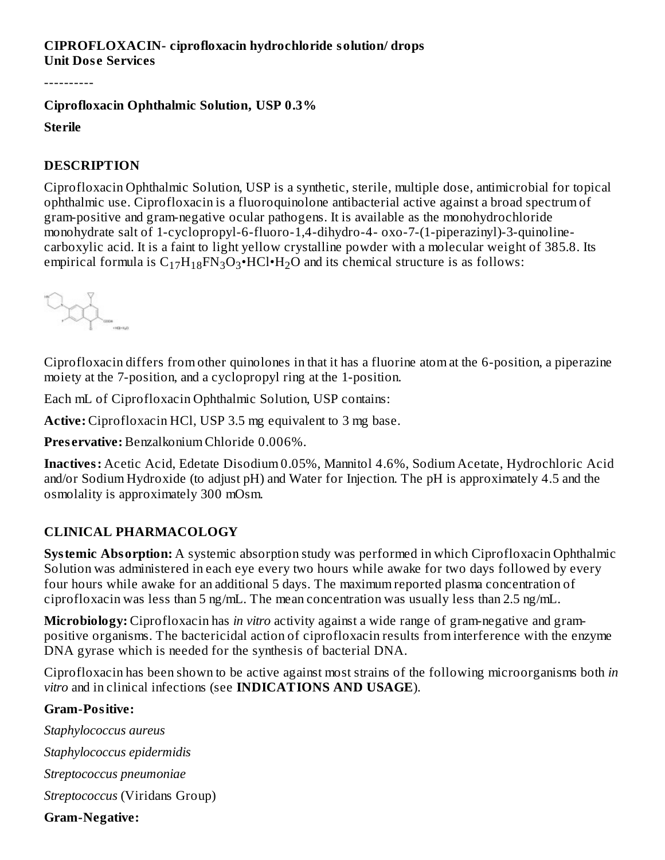#### **CIPROFLOXACIN- ciprofloxacin hydrochloride solution/ drops Unit Dos e Services**

----------

#### **Ciprofloxacin Ophthalmic Solution, USP 0.3%**

#### **Sterile**

#### **DESCRIPTION**

Ciprofloxacin Ophthalmic Solution, USP is a synthetic, sterile, multiple dose, antimicrobial for topical ophthalmic use. Ciprofloxacin is a fluoroquinolone antibacterial active against a broad spectrum of gram-positive and gram-negative ocular pathogens. It is available as the monohydrochloride monohydrate salt of 1-cyclopropyl-6-fluoro-1,4-dihydro-4- oxo-7-(1-piperazinyl)-3-quinolinecarboxylic acid. It is a faint to light yellow crystalline powder with a molecular weight of 385.8. Its empirical formula is  $\rm{C_{17}H_{18}FN_{3}O_{3}\cdot HCl\cdot H_{2}O}$  and its chemical structure is as follows:



Ciprofloxacin differs from other quinolones in that it has a fluorine atom at the 6-position, a piperazine moiety at the 7-position, and a cyclopropyl ring at the 1-position.

Each mL of Ciprofloxacin Ophthalmic Solution, USP contains:

**Active:** Ciprofloxacin HCl, USP 3.5 mg equivalent to 3 mg base.

**Pres ervative:** Benzalkonium Chloride 0.006%.

**Inactives:** Acetic Acid, Edetate Disodium 0.05%, Mannitol 4.6%, Sodium Acetate, Hydrochloric Acid and/or Sodium Hydroxide (to adjust pH) and Water for Injection. The pH is approximately 4.5 and the osmolality is approximately 300 mOsm.

#### **CLINICAL PHARMACOLOGY**

**Systemic Absorption:** A systemic absorption study was performed in which Ciprofloxacin Ophthalmic Solution was administered in each eye every two hours while awake for two days followed by every four hours while awake for an additional 5 days. The maximum reported plasma concentration of ciprofloxacin was less than 5 ng/mL. The mean concentration was usually less than 2.5 ng/mL.

**Microbiology:** Ciprofloxacin has *in vitro* activity against a wide range of gram-negative and grampositive organisms. The bactericidal action of ciprofloxacin results from interference with the enzyme DNA gyrase which is needed for the synthesis of bacterial DNA.

Ciprofloxacin has been shown to be active against most strains of the following microorganisms both *in vitro* and in clinical infections (see **INDICATIONS AND USAGE**).

#### **Gram-Positive:**

*Staphylococcus aureus Staphylococcus epidermidis Streptococcus pneumoniae Streptococcus* (Viridans Group)

#### **Gram-Negative:**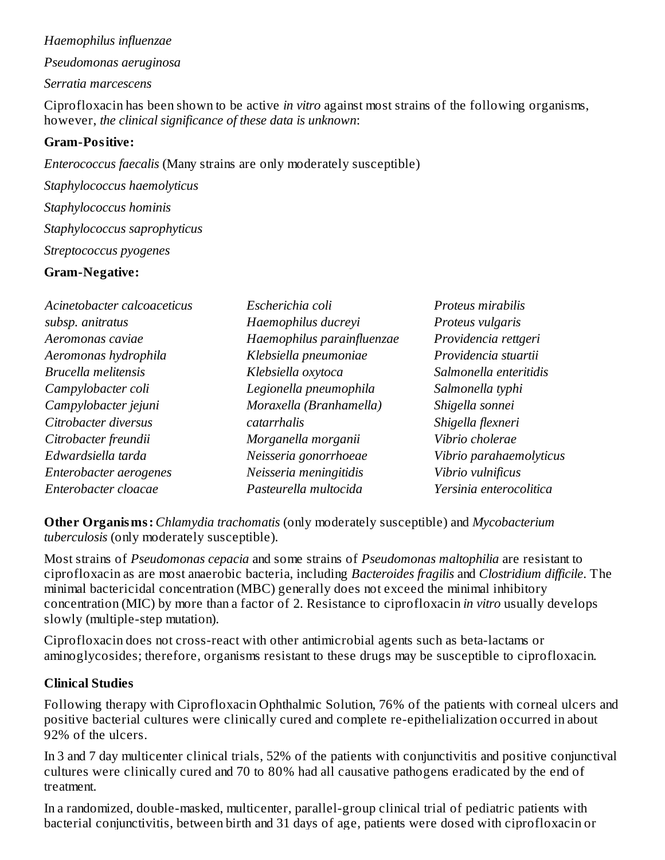#### *Haemophilus influenzae*

*Pseudomonas aeruginosa*

*Serratia marcescens*

Ciprofloxacin has been shown to be active *in vitro* against most strains of the following organisms, however, *the clinical significance of these data is unknown*:

#### **Gram-Positive:**

*Enterococcus faecalis* (Many strains are only moderately susceptible) *Staphylococcus haemolyticus Staphylococcus hominis Staphylococcus saprophyticus Streptococcus pyogenes* **Gram-Negative:**

| Acinetobacter calcoaceticus | Escherichia coli           | Proteus mirabilis       |
|-----------------------------|----------------------------|-------------------------|
| subsp. anitratus            | Haemophilus ducreyi        | Proteus vulgaris        |
| Aeromonas caviae            | Haemophilus parainfluenzae | Providencia rettgeri    |
| Aeromonas hydrophila        | Klebsiella pneumoniae      | Providencia stuartii    |
| Brucella melitensis         | Klebsiella oxytoca         | Salmonella enteritidis  |
| Campylobacter coli          | Legionella pneumophila     | Salmonella typhi        |
| Campylobacter jejuni        | Moraxella (Branhamella)    | Shigella sonnei         |
| Citrobacter diversus        | catarrhalis                | Shigella flexneri       |
| Citrobacter freundii        | Morganella morganii        | Vibrio cholerae         |
| Edwardsiella tarda          | Neisseria gonorrhoeae      | Vibrio parahaemolyticus |
| Enterobacter aerogenes      | Neisseria meningitidis     | Vibrio vulnificus       |
| Enterobacter cloacae        | Pasteurella multocida      | Yersinia enterocolitica |

**Other Organisms:** *Chlamydia trachomatis* (only moderately susceptible) and *Mycobacterium tuberculosis* (only moderately susceptible).

Most strains of *Pseudomonas cepacia* and some strains of *Pseudomonas maltophilia* are resistant to ciprofloxacin as are most anaerobic bacteria, including *Bacteroides fragilis* and *Clostridium difficile*. The minimal bactericidal concentration (MBC) generally does not exceed the minimal inhibitory concentration (MIC) by more than a factor of 2. Resistance to ciprofloxacin *in vitro* usually develops slowly (multiple-step mutation).

Ciprofloxacin does not cross-react with other antimicrobial agents such as beta-lactams or aminoglycosides; therefore, organisms resistant to these drugs may be susceptible to ciprofloxacin.

#### **Clinical Studies**

Following therapy with Ciprofloxacin Ophthalmic Solution, 76% of the patients with corneal ulcers and positive bacterial cultures were clinically cured and complete re-epithelialization occurred in about 92% of the ulcers.

In 3 and 7 day multicenter clinical trials, 52% of the patients with conjunctivitis and positive conjunctival cultures were clinically cured and 70 to 80% had all causative pathogens eradicated by the end of treatment.

In a randomized, double-masked, multicenter, parallel-group clinical trial of pediatric patients with bacterial conjunctivitis, between birth and 31 days of age, patients were dosed with ciprofloxacin or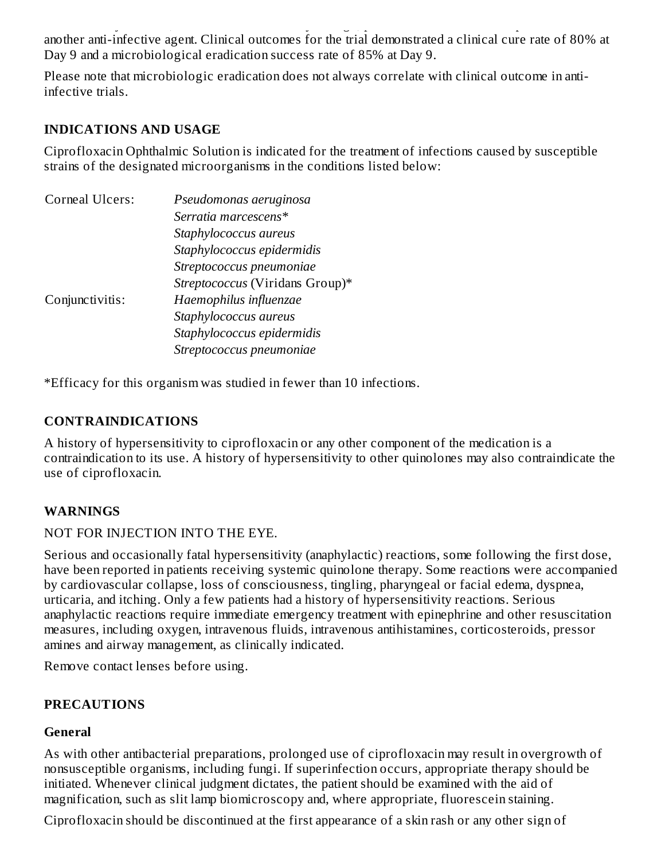bacterial conjunctivitis, between birth and 31 days of age, patients were dosed with ciprofloxacin or another anti-infective agent. Clinical outcomes for the trial demonstrated a clinical cure rate of 80% at Day 9 and a microbiological eradication success rate of 85% at Day 9.

Please note that microbiologic eradication does not always correlate with clinical outcome in antiinfective trials.

#### **INDICATIONS AND USAGE**

Ciprofloxacin Ophthalmic Solution is indicated for the treatment of infections caused by susceptible strains of the designated microorganisms in the conditions listed below:

| Corneal Ulcers: | Pseudomonas aeruginosa          |
|-----------------|---------------------------------|
|                 | Serratia marcescens*            |
|                 | Staphylococcus aureus           |
|                 | Staphylococcus epidermidis      |
|                 | Streptococcus pneumoniae        |
|                 | Streptococcus (Viridans Group)* |
| Conjunctivitis: | Haemophilus influenzae          |
|                 | Staphylococcus aureus           |
|                 | Staphylococcus epidermidis      |
|                 | Streptococcus pneumoniae        |

\*Efficacy for this organism was studied in fewer than 10 infections.

#### **CONTRAINDICATIONS**

A history of hypersensitivity to ciprofloxacin or any other component of the medication is a contraindication to its use. A history of hypersensitivity to other quinolones may also contraindicate the use of ciprofloxacin.

## **WARNINGS**

#### NOT FOR INJECTION INTO THE EYE.

Serious and occasionally fatal hypersensitivity (anaphylactic) reactions, some following the first dose, have been reported in patients receiving systemic quinolone therapy. Some reactions were accompanied by cardiovascular collapse, loss of consciousness, tingling, pharyngeal or facial edema, dyspnea, urticaria, and itching. Only a few patients had a history of hypersensitivity reactions. Serious anaphylactic reactions require immediate emergency treatment with epinephrine and other resuscitation measures, including oxygen, intravenous fluids, intravenous antihistamines, corticosteroids, pressor amines and airway management, as clinically indicated.

Remove contact lenses before using.

## **PRECAUTIONS**

#### **General**

As with other antibacterial preparations, prolonged use of ciprofloxacin may result in overgrowth of nonsusceptible organisms, including fungi. If superinfection occurs, appropriate therapy should be initiated. Whenever clinical judgment dictates, the patient should be examined with the aid of magnification, such as slit lamp biomicroscopy and, where appropriate, fluorescein staining.

Ciprofloxacin should be discontinued at the first appearance of a skin rash or any other sign of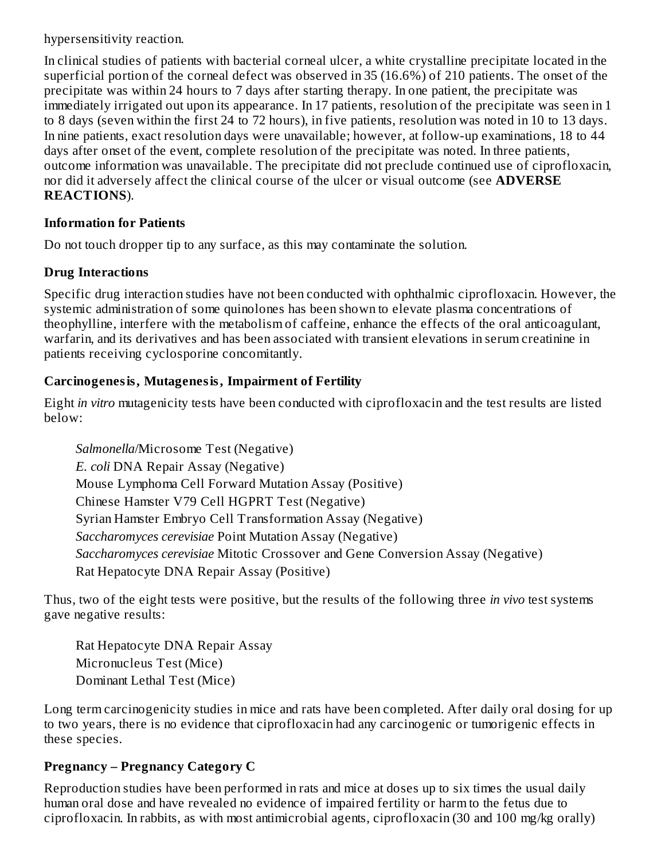hypersensitivity reaction.

In clinical studies of patients with bacterial corneal ulcer, a white crystalline precipitate located in the superficial portion of the corneal defect was observed in 35 (16.6%) of 210 patients. The onset of the precipitate was within 24 hours to 7 days after starting therapy. In one patient, the precipitate was immediately irrigated out upon its appearance. In 17 patients, resolution of the precipitate was seen in 1 to 8 days (seven within the first 24 to 72 hours), in five patients, resolution was noted in 10 to 13 days. In nine patients, exact resolution days were unavailable; however, at follow-up examinations, 18 to 44 days after onset of the event, complete resolution of the precipitate was noted. In three patients, outcome information was unavailable. The precipitate did not preclude continued use of ciprofloxacin, nor did it adversely affect the clinical course of the ulcer or visual outcome (see **ADVERSE REACTIONS**).

#### **Information for Patients**

Do not touch dropper tip to any surface, as this may contaminate the solution.

## **Drug Interactions**

Specific drug interaction studies have not been conducted with ophthalmic ciprofloxacin. However, the systemic administration of some quinolones has been shown to elevate plasma concentrations of theophylline, interfere with the metabolism of caffeine, enhance the effects of the oral anticoagulant, warfarin, and its derivatives and has been associated with transient elevations in serum creatinine in patients receiving cyclosporine concomitantly.

## **Carcinogenesis, Mutagenesis, Impairment of Fertility**

Eight *in vitro* mutagenicity tests have been conducted with ciprofloxacin and the test results are listed below:

*Salmonella*/Microsome Test (Negative) *E. coli* DNA Repair Assay (Negative) Mouse Lymphoma Cell Forward Mutation Assay (Positive) Chinese Hamster V79 Cell HGPRT Test (Negative) Syrian Hamster Embryo Cell Transformation Assay (Negative) *Saccharomyces cerevisiae* Point Mutation Assay (Negative) *Saccharomyces cerevisiae* Mitotic Crossover and Gene Conversion Assay (Negative) Rat Hepatocyte DNA Repair Assay (Positive)

Thus, two of the eight tests were positive, but the results of the following three *in vivo* test systems gave negative results:

Rat Hepatocyte DNA Repair Assay Micronucleus Test (Mice) Dominant Lethal Test (Mice)

Long term carcinogenicity studies in mice and rats have been completed. After daily oral dosing for up to two years, there is no evidence that ciprofloxacin had any carcinogenic or tumorigenic effects in these species.

## **Pregnancy – Pregnancy Category C**

Reproduction studies have been performed in rats and mice at doses up to six times the usual daily human oral dose and have revealed no evidence of impaired fertility or harm to the fetus due to ciprofloxacin. In rabbits, as with most antimicrobial agents, ciprofloxacin (30 and 100 mg/kg orally)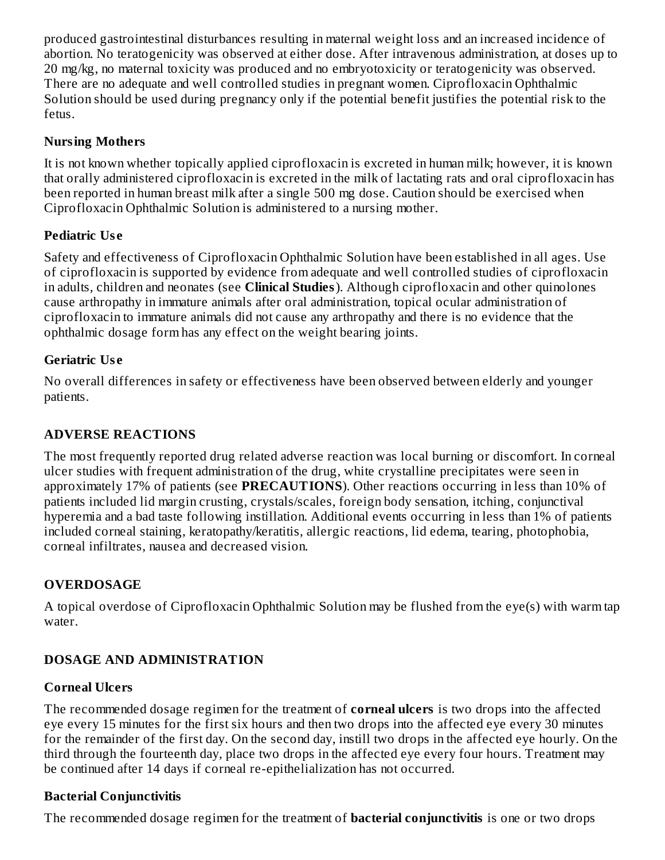produced gastrointestinal disturbances resulting in maternal weight loss and an increased incidence of abortion. No teratogenicity was observed at either dose. After intravenous administration, at doses up to 20 mg/kg, no maternal toxicity was produced and no embryotoxicity or teratogenicity was observed. There are no adequate and well controlled studies in pregnant women. Ciprofloxacin Ophthalmic Solution should be used during pregnancy only if the potential benefit justifies the potential risk to the fetus.

## **Nursing Mothers**

It is not known whether topically applied ciprofloxacin is excreted in human milk; however, it is known that orally administered ciprofloxacin is excreted in the milk of lactating rats and oral ciprofloxacin has been reported in human breast milk after a single 500 mg dose. Caution should be exercised when Ciprofloxacin Ophthalmic Solution is administered to a nursing mother.

## **Pediatric Us e**

Safety and effectiveness of Ciprofloxacin Ophthalmic Solution have been established in all ages. Use of ciprofloxacin is supported by evidence from adequate and well controlled studies of ciprofloxacin in adults, children and neonates (see **Clinical Studies**). Although ciprofloxacin and other quinolones cause arthropathy in immature animals after oral administration, topical ocular administration of ciprofloxacin to immature animals did not cause any arthropathy and there is no evidence that the ophthalmic dosage form has any effect on the weight bearing joints.

## **Geriatric Us e**

No overall differences in safety or effectiveness have been observed between elderly and younger patients.

## **ADVERSE REACTIONS**

The most frequently reported drug related adverse reaction was local burning or discomfort. In corneal ulcer studies with frequent administration of the drug, white crystalline precipitates were seen in approximately 17% of patients (see **PRECAUTIONS**). Other reactions occurring in less than 10% of patients included lid margin crusting, crystals/scales, foreign body sensation, itching, conjunctival hyperemia and a bad taste following instillation. Additional events occurring in less than 1% of patients included corneal staining, keratopathy/keratitis, allergic reactions, lid edema, tearing, photophobia, corneal infiltrates, nausea and decreased vision.

## **OVERDOSAGE**

A topical overdose of Ciprofloxacin Ophthalmic Solution may be flushed from the eye(s) with warm tap water.

## **DOSAGE AND ADMINISTRATION**

## **Corneal Ulcers**

The recommended dosage regimen for the treatment of **corneal ulcers** is two drops into the affected eye every 15 minutes for the first six hours and then two drops into the affected eye every 30 minutes for the remainder of the first day. On the second day, instill two drops in the affected eye hourly. On the third through the fourteenth day, place two drops in the affected eye every four hours. Treatment may be continued after 14 days if corneal re-epithelialization has not occurred.

## **Bacterial Conjunctivitis**

The recommended dosage regimen for the treatment of **bacterial conjunctivitis** is one or two drops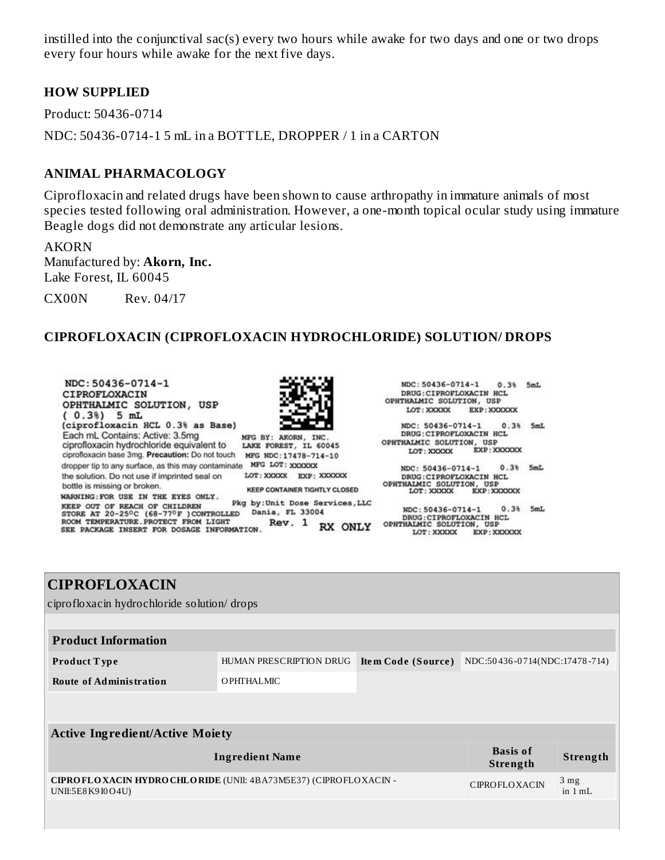instilled into the conjunctival sac(s) every two hours while awake for two days and one or two drops every four hours while awake for the next five days.

#### **HOW SUPPLIED**

Product: 50436-0714 NDC: 50436-0714-1 5 mL in a BOTTLE, DROPPER / 1 in a CARTON

#### **ANIMAL PHARMACOLOGY**

Ciprofloxacin and related drugs have been shown to cause arthropathy in immature animals of most species tested following oral administration. However, a one-month topical ocular study using immature Beagle dogs did not demonstrate any articular lesions.

AKORN Manufactured by: **Akorn, Inc.** Lake Forest, IL 60045

CX00N Rev. 04/17

#### **CIPROFLOXACIN (CIPROFLOXACIN HYDROCHLORIDE) SOLUTION/ DROPS**



LOT: XXXXX EXP: XXXXXX

| <b>CIPROFLOXACIN</b>                                                                                                                          |                         |                    |                               |          |
|-----------------------------------------------------------------------------------------------------------------------------------------------|-------------------------|--------------------|-------------------------------|----------|
| ciprofloxacin hydrochloride solution/ drops                                                                                                   |                         |                    |                               |          |
|                                                                                                                                               |                         |                    |                               |          |
| <b>Product Information</b>                                                                                                                    |                         |                    |                               |          |
| <b>Product Type</b>                                                                                                                           | HUMAN PRESCRIPTION DRUG | Item Code (Source) | NDC:50436-0714(NDC:17478-714) |          |
| <b>Route of Administration</b>                                                                                                                | <b>OPHTHALMIC</b>       |                    |                               |          |
|                                                                                                                                               |                         |                    |                               |          |
|                                                                                                                                               |                         |                    |                               |          |
| <b>Active Ingredient/Active Moiety</b>                                                                                                        |                         |                    |                               |          |
| <b>Basis of</b><br><b>Ingredient Name</b><br>Strength                                                                                         |                         |                    |                               | Strength |
| CIPRO FLOXACIN HYDRO CHLORIDE (UNII: 4BA73M5E37) (CIPROFLOXACIN -<br>3 <sub>mg</sub><br><b>CIPROFLOXACIN</b><br>UNII:5E8K9I0O4U)<br>in $1 mL$ |                         |                    |                               |          |
|                                                                                                                                               |                         |                    |                               |          |
|                                                                                                                                               |                         |                    |                               |          |